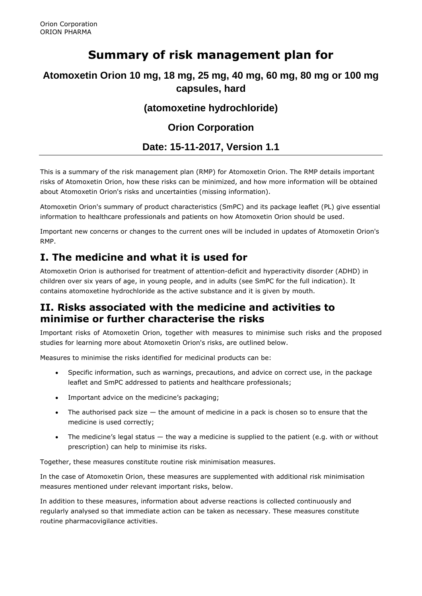# **Summary of risk management plan for**

### **Atomoxetin Orion 10 mg, 18 mg, 25 mg, 40 mg, 60 mg, 80 mg or 100 mg capsules, hard**

### **(atomoxetine hydrochloride)**

## **Orion Corporation**

#### **Date: 15-11-2017, Version 1.1**

This is a summary of the risk management plan (RMP) for Atomoxetin Orion. The RMP details important risks of Atomoxetin Orion, how these risks can be minimized, and how more information will be obtained about Atomoxetin Orion's risks and uncertainties (missing information).

Atomoxetin Orion's summary of product characteristics (SmPC) and its package leaflet (PL) give essential information to healthcare professionals and patients on how Atomoxetin Orion should be used.

Important new concerns or changes to the current ones will be included in updates of Atomoxetin Orion's RMP.

# **I. The medicine and what it is used for**

Atomoxetin Orion is authorised for treatment of attention-deficit and hyperactivity disorder (ADHD) in children over six years of age, in young people, and in adults (see SmPC for the full indication). It contains atomoxetine hydrochloride as the active substance and it is given by mouth.

### **II. Risks associated with the medicine and activities to minimise or further characterise the risks**

Important risks of Atomoxetin Orion, together with measures to minimise such risks and the proposed studies for learning more about Atomoxetin Orion's risks, are outlined below.

Measures to minimise the risks identified for medicinal products can be:

- Specific information, such as warnings, precautions, and advice on correct use, in the package leaflet and SmPC addressed to patients and healthcare professionals;
- Important advice on the medicine's packaging;
- The authorised pack size  $-$  the amount of medicine in a pack is chosen so to ensure that the medicine is used correctly;
- The medicine's legal status the way a medicine is supplied to the patient (e.g. with or without prescription) can help to minimise its risks.

Together, these measures constitute routine risk minimisation measures.

In the case of Atomoxetin Orion, these measures are supplemented with additional risk minimisation measures mentioned under relevant important risks, below.

In addition to these measures, information about adverse reactions is collected continuously and regularly analysed so that immediate action can be taken as necessary. These measures constitute routine pharmacovigilance activities.